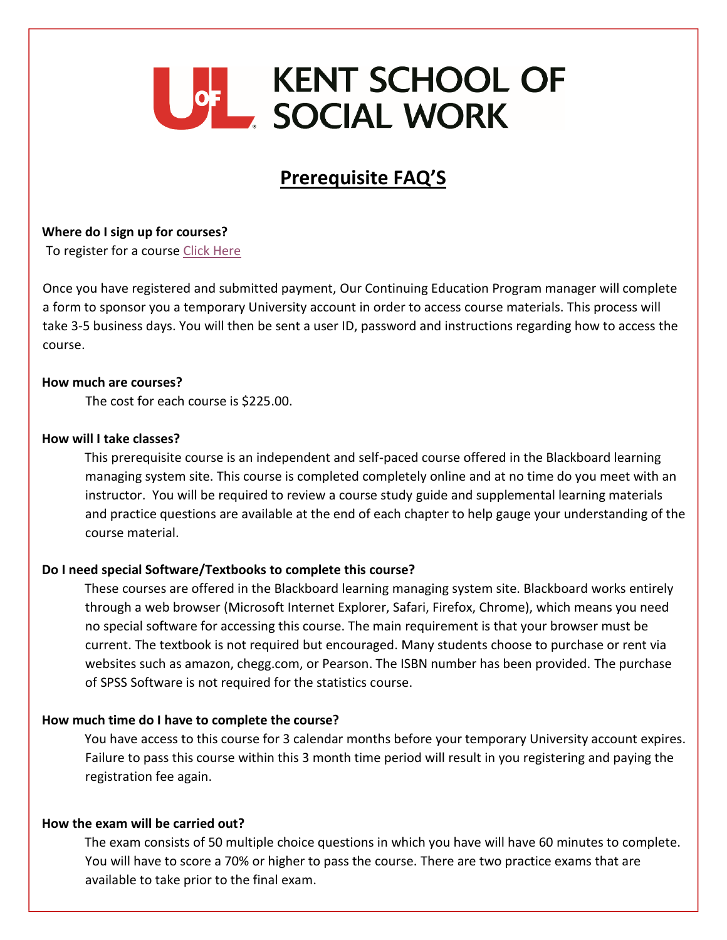# **UGH KENT SCHOOL OF<br>EXACTAL WORK**

# **Prerequisite FAQ'S**

**Where do I sign up for courses?** 

To register for a course [Click Here](https://reg.abcsignup.com/view/view_month.aspx?as=15&wp=174&aid=ULKS)

Once you have registered and submitted payment, Our Continuing Education Program manager will complete a form to sponsor you a temporary University account in order to access course materials. This process will take 3-5 business days. You will then be sent a user ID, password and instructions regarding how to access the course.

### **How much are courses?**

The cost for each course is \$225.00.

### **How will I take classes?**

This prerequisite course is an independent and self-paced course offered in the Blackboard learning managing system site. This course is completed completely online and at no time do you meet with an instructor. You will be required to review a course study guide and supplemental learning materials and practice questions are available at the end of each chapter to help gauge your understanding of the course material.

### **Do I need special Software/Textbooks to complete this course?**

These courses are offered in the Blackboard learning managing system site. Blackboard works entirely through a web browser (Microsoft Internet Explorer, Safari, Firefox, Chrome), which means you need no special software for accessing this course. The main requirement is that your browser must be current. The textbook is not required but encouraged. Many students choose to purchase or rent via websites such as amazon, chegg.com, or Pearson. The ISBN number has been provided. The purchase of SPSS Software is not required for the statistics course.

#### **How much time do I have to complete the course?**

You have access to this course for 3 calendar months before your temporary University account expires. Failure to pass this course within this 3 month time period will result in you registering and paying the registration fee again.

#### **How the exam will be carried out?**

The exam consists of 50 multiple choice questions in which you have will have 60 minutes to complete. You will have to score a 70% or higher to pass the course. There are two practice exams that are available to take prior to the final exam.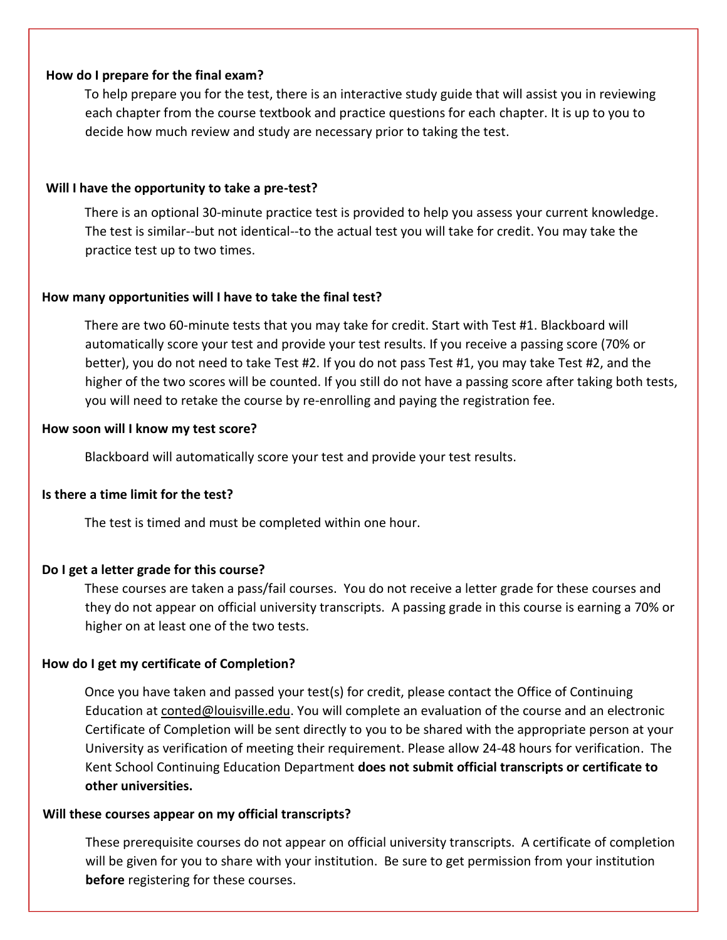## **How do I prepare for the final exam?**

To help prepare you for the test, there is an interactive study guide that will assist you in reviewing each chapter from the course textbook and practice questions for each chapter. It is up to you to decide how much review and study are necessary prior to taking the test.

# **Will I have the opportunity to take a pre-test?**

There is an optional 30-minute practice test is provided to help you assess your current knowledge. The test is similar--but not identical--to the actual test you will take for credit. You may take the practice test up to two times.

# **How many opportunities will I have to take the final test?**

There are two 60-minute tests that you may take for credit. Start with Test #1. Blackboard will automatically score your test and provide your test results. If you receive a passing score (70% or better), you do not need to take Test #2. If you do not pass Test #1, you may take Test #2, and the higher of the two scores will be counted. If you still do not have a passing score after taking both tests, you will need to retake the course by re-enrolling and paying the registration fee.

# **How soon will I know my test score?**

Blackboard will automatically score your test and provide your test results.

# **Is there a time limit for the test?**

The test is timed and must be completed within one hour.

# **Do I get a letter grade for this course?**

These courses are taken a pass/fail courses. You do not receive a letter grade for these courses and they do not appear on official university transcripts. A passing grade in this course is earning a 70% or higher on at least one of the two tests.

# **How do I get my certificate of Completion?**

Once you have taken and passed your test(s) for credit, please contact the Office of Continuing Education at conted@louisville.edu. You will complete an evaluation of the course and an electronic Certificate of Completion will be sent directly to you to be shared with the appropriate person at your University as verification of meeting their requirement. Please allow 24-48 hours for verification. The Kent School Continuing Education Department **does not submit official transcripts or certificate to other universities.** 

### **Will these courses appear on my official transcripts?**

These prerequisite courses do not appear on official university transcripts. A certificate of completion will be given for you to share with your institution. Be sure to get permission from your institution **before** registering for these courses.